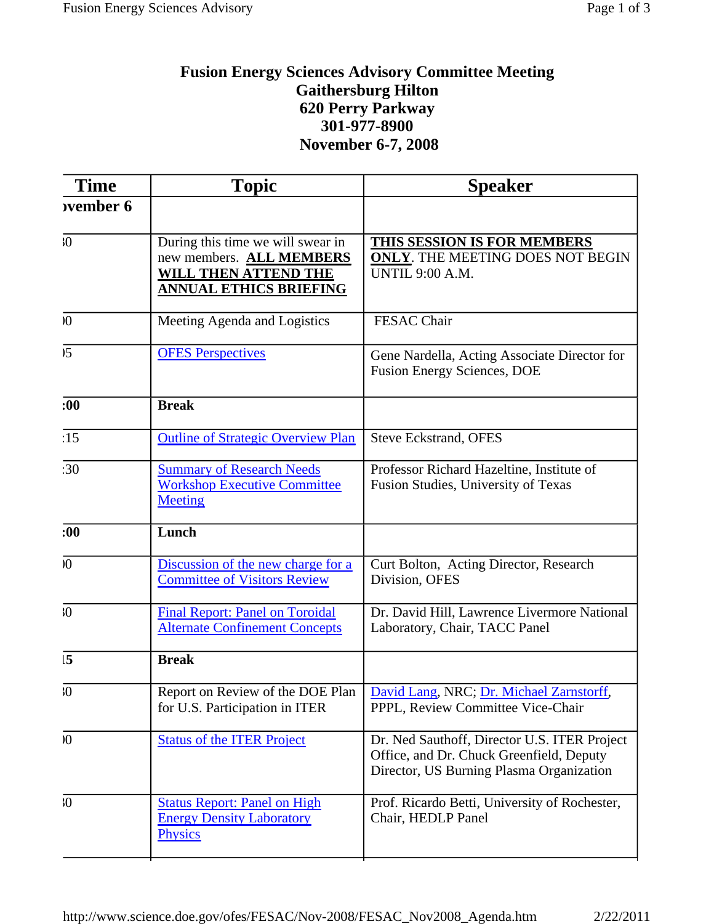## **Fusion Energy Sciences Advisory Committee Meeting Gaithersburg Hilton 620 Perry Parkway 301-977-8900 November 6-7, 2008**

| <b>Time</b>      | <b>Topic</b>                                                                                                                  | <b>Speaker</b>                                                                                                                       |
|------------------|-------------------------------------------------------------------------------------------------------------------------------|--------------------------------------------------------------------------------------------------------------------------------------|
| <b>ovember 6</b> |                                                                                                                               |                                                                                                                                      |
| $\sqrt{0}$       | During this time we will swear in<br>new members. ALL MEMBERS<br><b>WILL THEN ATTEND THE</b><br><b>ANNUAL ETHICS BRIEFING</b> | THIS SESSION IS FOR MEMBERS<br><b>ONLY. THE MEETING DOES NOT BEGIN</b><br><b>UNTIL 9:00 A.M.</b>                                     |
| $\sqrt{0}$       | Meeting Agenda and Logistics                                                                                                  | FESAC Chair                                                                                                                          |
| 5 <sup>5</sup>   | <b>OFES Perspectives</b>                                                                                                      | Gene Nardella, Acting Associate Director for<br><b>Fusion Energy Sciences, DOE</b>                                                   |
| :00              | <b>Break</b>                                                                                                                  |                                                                                                                                      |
| :15              | <b>Outline of Strategic Overview Plan</b>                                                                                     | <b>Steve Eckstrand, OFES</b>                                                                                                         |
| :30              | <b>Summary of Research Needs</b><br><b>Workshop Executive Committee</b><br><b>Meeting</b>                                     | Professor Richard Hazeltine, Institute of<br>Fusion Studies, University of Texas                                                     |
| :00              | Lunch                                                                                                                         |                                                                                                                                      |
| $\boldsymbol{0}$ | Discussion of the new charge for a<br><b>Committee of Visitors Review</b>                                                     | Curt Bolton, Acting Director, Research<br>Division, OFES                                                                             |
| $\overline{0}$   | <b>Final Report: Panel on Toroidal</b><br><b>Alternate Confinement Concepts</b>                                               | Dr. David Hill, Lawrence Livermore National<br>Laboratory, Chair, TACC Panel                                                         |
| 15               | <b>Break</b>                                                                                                                  |                                                                                                                                      |
| $\overline{0}$   | Report on Review of the DOE Plan<br>for U.S. Participation in ITER                                                            | David Lang, NRC; Dr. Michael Zarnstorff,<br>PPPL, Review Committee Vice-Chair                                                        |
| $\sqrt{0}$       | <b>Status of the ITER Project</b>                                                                                             | Dr. Ned Sauthoff, Director U.S. ITER Project<br>Office, and Dr. Chuck Greenfield, Deputy<br>Director, US Burning Plasma Organization |
| $\sqrt{0}$       | <b>Status Report: Panel on High</b><br><b>Energy Density Laboratory</b><br>Physics                                            | Prof. Ricardo Betti, University of Rochester,<br>Chair, HEDLP Panel                                                                  |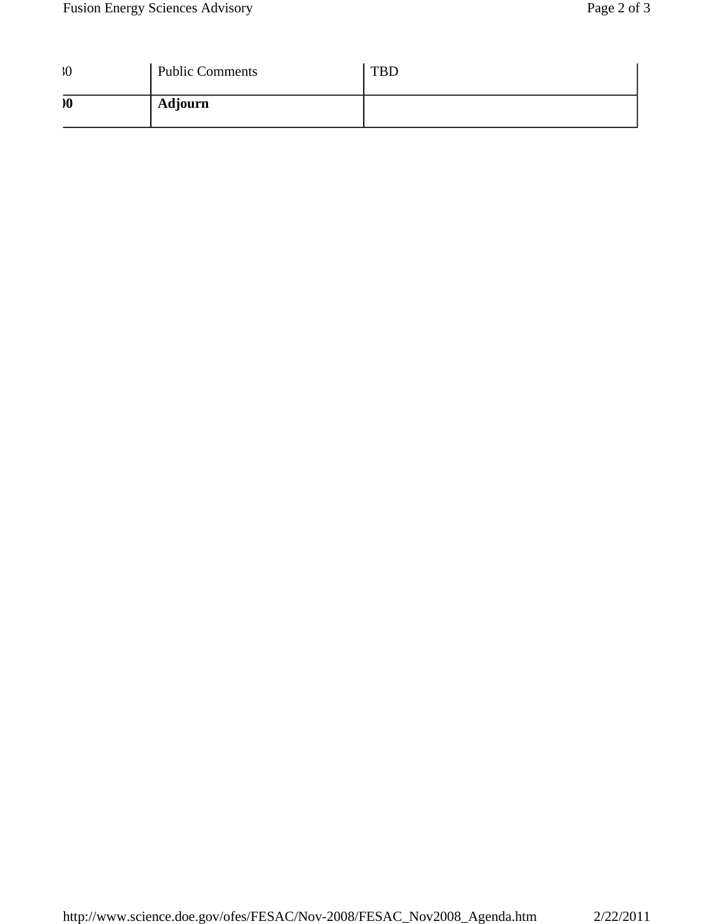| $30^{\circ}$              | <b>Public Comments</b> | <b>TBD</b> |
|---------------------------|------------------------|------------|
| $\boldsymbol{\mathsf{0}}$ | <b>Adjourn</b>         |            |